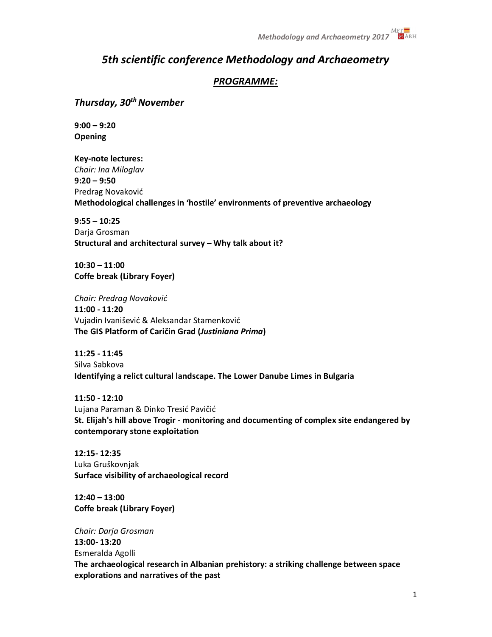## *5th scientific conference Methodology and Archaeometry*

## *PROGRAMME:*

*Thursday, 30th November* 

**9:00 – 9:20 Opening** 

**Key-note lectures:**  *Chair: Ina Miloglav*  **9:20 – 9:50**  Predrag Novaković **Methodological challenges in 'hostile' environments of preventive archaeology** 

**9:55 – 10:25**  Darja Grosman **Structural and architectural survey – Why talk about it?** 

**10:30 – 11:00 Coffe break (Library Foyer)** 

*Chair: Predrag Novaković*  **11:00 - 11:20**  Vujadin Ivanišević & Aleksandar Stamenković **The GIS Platform of Caričin Grad (***Justiniana Prima***)** 

**11:25 - 11:45**  Silva Sabkova **Identifying a relict cultural landscape. The Lower Danube Limes in Bulgaria** 

**11:50 - 12:10**  Lujana Paraman & Dinko Tresić Pavičić **St. Elijah's hill above Trogir - monitoring and documenting of complex site endangered by contemporary stone exploitation** 

**12:15- 12:35**  Luka Gruškovnjak **Surface visibility of archaeological record** 

**12:40 – 13:00 Coffe break (Library Foyer)** 

*Chair: Darja Grosman*  **13:00- 13:20**  Esmeralda Agolli **The archaeological research in Albanian prehistory: a striking challenge between space explorations and narratives of the past**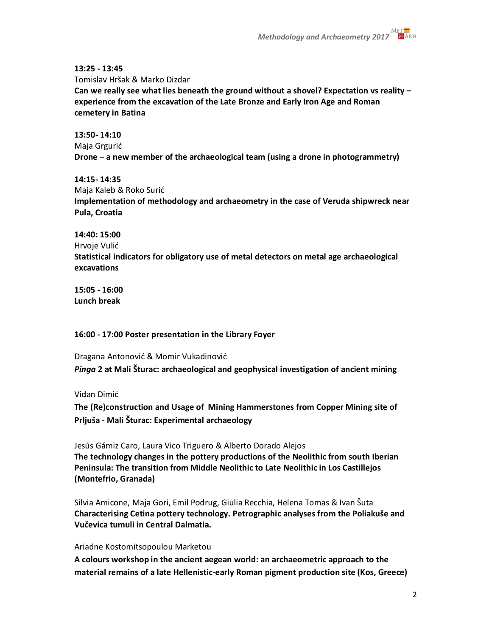**13:25 - 13:45**  Tomislav Hršak & Marko Dizdar **Can we really see what lies beneath the ground without a shovel? Expectation vs reality – experience from the excavation of the Late Bronze and Early Iron Age and Roman cemetery in Batina** 

**13:50- 14:10**  Maja Grgurić **Drone – a new member of the archaeological team (using a drone in photogrammetry)** 

**14:15- 14:35**  Maja Kaleb & Roko Surić **Implementation of methodology and archaeometry in the case of Veruda shipwreck near Pula, Croatia** 

**14:40: 15:00**  Hrvoje Vulić **Statistical indicators for obligatory use of metal detectors on metal age archaeological excavations** 

**15:05 - 16:00 Lunch break** 

**16:00 - 17:00 Poster presentation in the Library Foyer** 

Dragana Antonović & Momir Vukadinović *Pinga* **2 at Mali Šturac: archaeological and geophysical investigation of ancient mining** 

Vidan Dimić

**The (Re)construction and Usage of Mining Hammerstones from Copper Mining site of Prljuša - Mali Šturac: Experimental archaeology** 

Jesús Gámiz Caro, Laura Vico Triguero & Alberto Dorado Alejos **The technology changes in the pottery productions of the Neolithic from south Iberian Peninsula: The transition from Middle Neolithic to Late Neolithic in Los Castillejos (Montefrio, Granada)** 

Silvia Amicone, Maja Gori, Emil Podrug, Giulia Recchia, Helena Tomas & Ivan Šuta **Characterising Cetina pottery technology. Petrographic analyses from the Poliakuše and Vučevica tumuli in Central Dalmatia.** 

Ariadne Kostomitsopoulou Marketou

**A colours workshop in the ancient aegean world: an archaeometric approach to the material remains of a late Hellenistic-early Roman pigment production site (Kos, Greece)**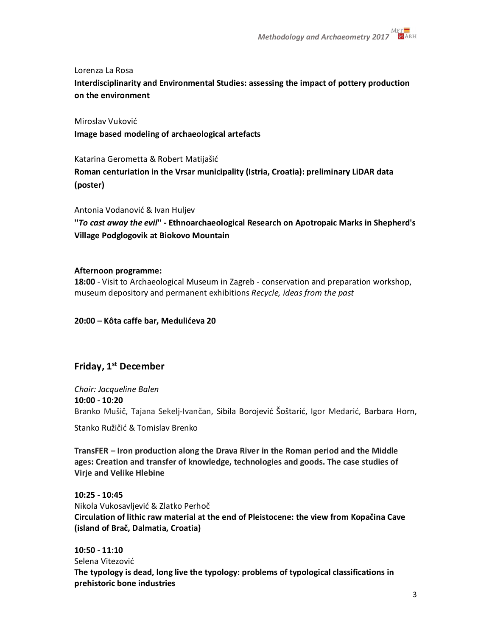Lorenza La Rosa

**Interdisciplinarity and Environmental Studies: assessing the impact of pottery production on the environment** 

Miroslav Vuković **Image based modeling of archaeological artefacts** 

Katarina Gerometta & Robert Matijašić **Roman centuriation in the Vrsar municipality (Istria, Croatia): preliminary LiDAR data (poster)** 

Antonia Vodanović & Ivan Huljev **''***To cast away the evil***'' - Ethnoarchaeological Research on Apotropaic Marks in Shepherd's Village Podglogovik at Biokovo Mountain** 

## **Afternoon programme:**

**18:00** - Visit to Archaeological Museum in Zagreb - conservation and preparation workshop, museum depository and permanent exhibitions *Recycle, ideas from the past*

**20:00 – Kôta caffe bar, Medulićeva 20** 

## **Friday, 1st December**

*Chair: Jacqueline Balen*  **10:00 - 10:20**  Branko Mušič, Tajana Sekelj-Ivančan, Sibila Borojević Šoštarić, Igor Medarić, Barbara Horn,

Stanko Ružičić & Tomislav Brenko

**TransFER – Iron production along the Drava River in the Roman period and the Middle ages: Creation and transfer of knowledge, technologies and goods. The case studies of Virje and Velike Hlebine** 

**10:25 - 10:45**  Nikola Vukosavljević & Zlatko Perhoč **Circulation of lithic raw material at the end of Pleistocene: the view from Kopačina Cave (island of Brač, Dalmatia, Croatia)** 

**10:50 - 11:10**  Selena Vitezović **The typology is dead, long live the typology: problems of typological classifications in prehistoric bone industries**